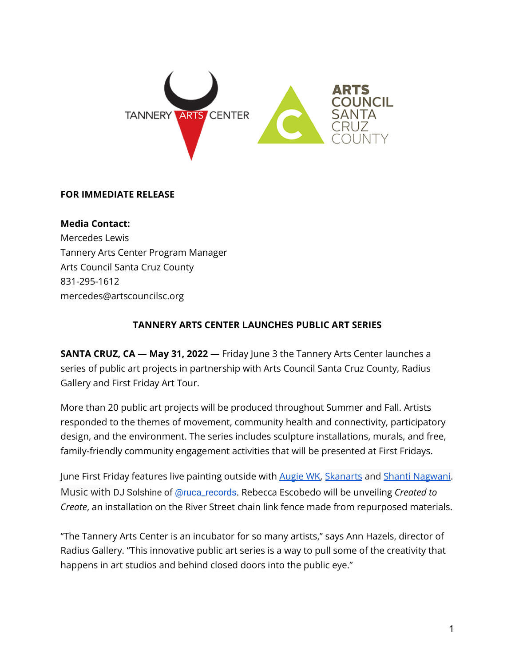

## **FOR IMMEDIATE RELEASE**

**Media Contact:** Mercedes Lewis Tannery Arts Center Program Manager Arts Council Santa Cruz County 831-295-1612 mercedes@artscouncilsc.org

## **TANNERY ARTS CENTER LAUNCHES PUBLIC ART SERIES**

**SANTA CRUZ, CA — May 31, 2022 —** Friday June 3 the Tannery Arts Center launches a series of public art projects in partnership with Arts Council Santa Cruz County, Radius Gallery and First Friday Art Tour.

More than 20 public art projects will be produced throughout Summer and Fall. Artists responded to the themes of movement, community health and connectivity, participatory design, and the environment. The series includes sculpture installations, murals, and free, family-friendly community engagement activities that will be presented at First Fridays.

June First Friday features live painting outside with [Augie](https://www.instagram.com/p/CeBm7iZrjaG/) WK, [Skanarts](https://www.instagram.com/skanarts/?hl=en) and Shanti [Nagwani](https://www.instagram.com/shantinagwani/?hl=en). Music with DJ Solshine of [@ruca\\_records](https://www.instagram.com/ruca_records/). Rebecca Escobedo will be unveiling *Created to Create*, an installation on the River Street chain link fence made from repurposed materials.

"The Tannery Arts Center is an incubator for so many artists," says Ann Hazels, director of Radius Gallery. "This innovative public art series is a way to pull some of the creativity that happens in art studios and behind closed doors into the public eye."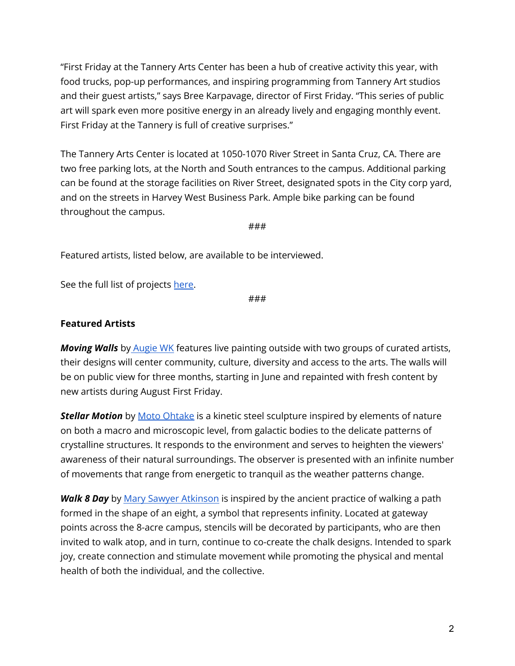"First Friday at the Tannery Arts Center has been a hub of creative activity this year, with food trucks, pop-up performances, and inspiring programming from Tannery Art studios and their guest artists," says Bree Karpavage, director of First Friday. "This series of public art will spark even more positive energy in an already lively and engaging monthly event. First Friday at the Tannery is full of creative surprises."

The Tannery Arts Center is located at 1050-1070 River Street in Santa Cruz, CA. There are two free parking lots, at the North and South entrances to the campus. Additional parking can be found at the storage facilities on River Street, designated spots in the City corp yard, and on the streets in Harvey West Business Park. Ample bike parking can be found throughout the campus.

###

Featured artists, listed below, are available to be interviewed.

See the full list of projects [here](https://www.tanneryartscenter.org/public-art-2022).

###

## **Featured Artists**

*Moving Walls* by [Augie](https://www.thejamsbrand.com/augiewk) WK features live painting outside with two groups of curated artists, their designs will center community, culture, diversity and access to the arts. The walls will be on public view for three months, starting in June and repainted with fresh content by new artists during August First Friday.

**Stellar Motion** by Moto [Ohtake](http://www.motoohtake.com/new.html) is a kinetic steel sculpture inspired by elements of nature on both a macro and microscopic level, from galactic bodies to the delicate patterns of crystalline structures. It responds to the environment and serves to heighten the viewers' awareness of their natural surroundings. The observer is presented with an infinite number of movements that range from energetic to tranquil as the weather patterns change.

*Walk 8 Day* by Mary Sawyer [Atkinson](http://www.marysawyeratkinson.com/index.html) is inspired by the ancient practice of walking a path formed in the shape of an eight, a symbol that represents infinity. Located at gateway points across the 8-acre campus, stencils will be decorated by participants, who are then invited to walk atop, and in turn, continue to co-create the chalk designs. Intended to spark joy, create connection and stimulate movement while promoting the physical and mental health of both the individual, and the collective.